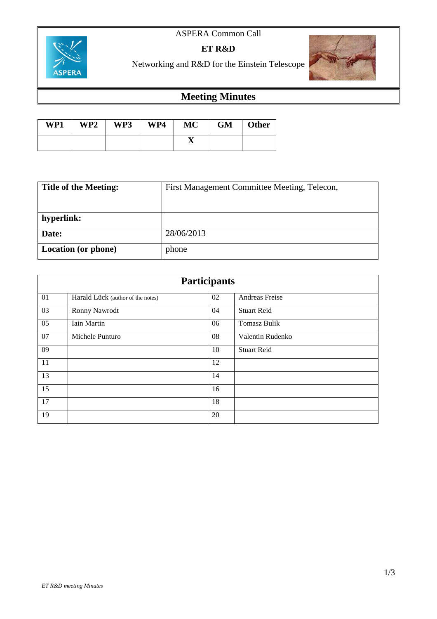### ASPERA Common Call



**ET R&D**

## Networking and R&D for the Einstein Telescope

# **Meeting Minutes**

| WP1 | WP2 | WP3 | WP4 | MC | <b>GM</b> | Other |
|-----|-----|-----|-----|----|-----------|-------|
|     |     |     |     | A  |           |       |

| <b>Title of the Meeting:</b> | First Management Committee Meeting, Telecon, |  |  |
|------------------------------|----------------------------------------------|--|--|
|                              |                                              |  |  |
| hyperlink:                   |                                              |  |  |
| Date:                        | 28/06/2013                                   |  |  |
| <b>Location</b> (or phone)   | phone                                        |  |  |

| <b>Participants</b> |                                   |    |                     |  |  |  |
|---------------------|-----------------------------------|----|---------------------|--|--|--|
| 01                  | Harald Lück (author of the notes) | 02 | Andreas Freise      |  |  |  |
| 03                  | Ronny Nawrodt                     | 04 | <b>Stuart Reid</b>  |  |  |  |
| 05                  | Iain Martin                       | 06 | <b>Tomasz Bulik</b> |  |  |  |
| 07                  | Michele Punturo                   | 08 | Valentin Rudenko    |  |  |  |
| 09                  |                                   | 10 | <b>Stuart Reid</b>  |  |  |  |
| 11                  |                                   | 12 |                     |  |  |  |
| 13                  |                                   | 14 |                     |  |  |  |
| 15                  |                                   | 16 |                     |  |  |  |
| 17                  |                                   | 18 |                     |  |  |  |
| 19                  |                                   | 20 |                     |  |  |  |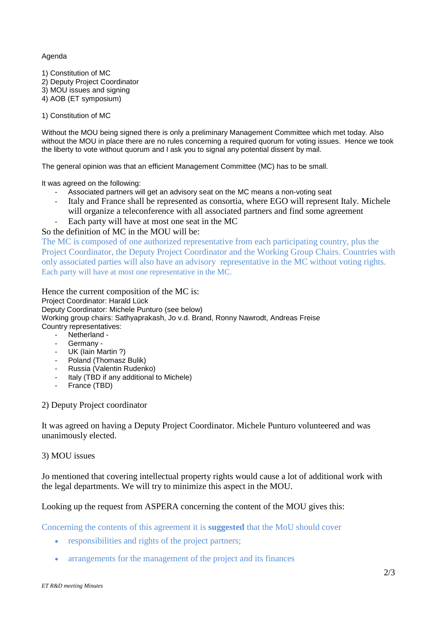#### Agenda

1) Constitution of MC 2) Deputy Project Coordinator 3) MOU issues and signing

4) AOB (ET symposium)

1) Constitution of MC

Without the MOU being signed there is only a preliminary Management Committee which met today. Also without the MOU in place there are no rules concerning a required quorum for voting issues. Hence we took the liberty to vote without quorum and I ask you to signal any potential dissent by mail.

The general opinion was that an efficient Management Committee (MC) has to be small.

It was agreed on the following:

- Associated partners will get an advisory seat on the MC means a non-voting seat
- Italy and France shall be represented as consortia, where EGO will represent Italy. Michele will organize a teleconference with all associated partners and find some agreement
- Each party will have at most one seat in the MC

#### So the definition of MC in the MOU will be:

The MC is composed of one authorized representative from each participating country, plus the Project Coordinator, the Deputy Project Coordinator and the Working Group Chairs. Countries with only associated parties will also have an advisory representative in the MC without voting rights. Each party will have at most one representative in the MC.

Hence the current composition of the MC is: Project Coordinator: Harald Lück Deputy Coordinator: Michele Punturo (see below) Working group chairs: Sathyaprakash, Jo v.d. Brand, Ronny Nawrodt, Andreas Freise Country representatives:

- Netherland -
- Germany -
- UK (Iain Martin ?)
- Poland (Thomasz Bulik)
- Russia (Valentin Rudenko)
- Italy (TBD if any additional to Michele)
- France (TBD)

2) Deputy Project coordinator

It was agreed on having a Deputy Project Coordinator. Michele Punturo volunteered and was unanimously elected.

#### 3) MOU issues

Jo mentioned that covering intellectual property rights would cause a lot of additional work with the legal departments. We will try to minimize this aspect in the MOU.

Looking up the request from ASPERA concerning the content of the MOU gives this:

Concerning the contents of this agreement it is **suggested** that the MoU should cover

- responsibilities and rights of the project partners;
- arrangements for the management of the project and its finances